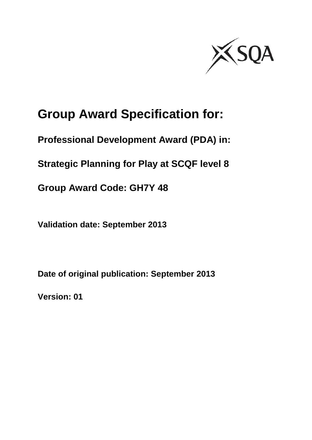

# **Group Award Specification for:**

**Professional Development Award (PDA) in:**

**Strategic Planning for Play at SCQF level 8**

**Group Award Code: GH7Y 48**

**Validation date: September 2013**

**Date of original publication: September 2013**

**Version: 01**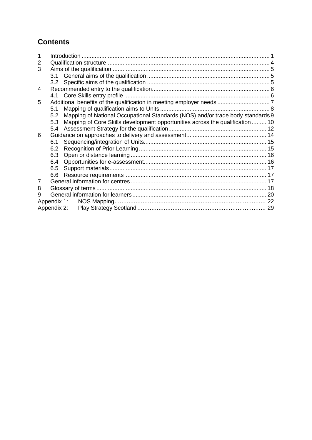### **Contents**

| 2 |             |                                                                                |  |
|---|-------------|--------------------------------------------------------------------------------|--|
| 3 |             |                                                                                |  |
|   |             |                                                                                |  |
|   |             |                                                                                |  |
| 4 |             |                                                                                |  |
|   |             |                                                                                |  |
| 5 |             |                                                                                |  |
|   | 5.1         |                                                                                |  |
|   | 5.2         | Mapping of National Occupational Standards (NOS) and/or trade body standards 9 |  |
|   | 5.3         | Mapping of Core Skills development opportunities across the qualification  10  |  |
|   | 5.4         |                                                                                |  |
| 6 |             |                                                                                |  |
|   | 6.1         |                                                                                |  |
|   | 6.2         |                                                                                |  |
|   | 6.3         |                                                                                |  |
|   | 6.4         |                                                                                |  |
|   | 6.5         |                                                                                |  |
|   | 6.6         |                                                                                |  |
| 7 |             |                                                                                |  |
| 8 |             |                                                                                |  |
| 9 |             |                                                                                |  |
|   | Appendix 1: |                                                                                |  |
|   | Appendix 2: |                                                                                |  |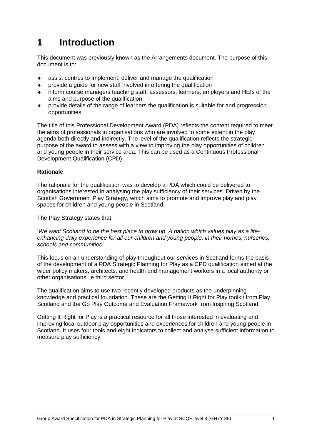## <span id="page-2-0"></span>**1 Introduction**

This document was previously known as the Arrangements document. The purpose of this document is to:

- assist centres to implement, deliver and manage the qualification
- $\bullet$  provide a quide for new staff involved in offering the qualification
- inform course managers teaching staff, assessors, learners, employers and HEIs of the aims and purpose of the qualification
- provide details of the range of learners the qualification is suitable for and progression opportunities

The title of this Professional Development Award (PDA) reflects the content required to meet the aims of professionals in organisations who are involved to some extent in the play agenda both directly and indirectly. The level of the qualification reflects the strategic purpose of the award to assess with a view to improving the play opportunities of children and young people in their service area. This can be used as a Continuous Professional Development Qualification (CPD).

#### **Rationale**

The rationale for the qualification was to develop a PDA which could be delivered to organisations interested in analysing the play sufficiency of their services. Driven by the Scottish Government Play Strategy, which aims to promote and improve play and play spaces for children and young people in Scotland.

The Play Strategy states that:

'*We want Scotland to be the best place to grow up. A nation which values play as a lifeenhancing daily experience for all our children and young people; in their homes, nurseries, schools and communities'*.

This focus on an understanding of play throughout our services in Scotland forms the basis of the development of a PDA Strategic Planning for Play as a CPD qualification aimed at the wider policy makers, architects, and health and management workers in a local authority or other organisations, ie third sector.

The qualification aims to use two recently developed products as the underpinning knowledge and practical foundation. These are the Getting It Right for Play toolkit from Play Scotland and the Go Play Outcome and Evaluation Framework from Inspiring Scotland.

Getting It Right for Play is a practical resource for all those interested in evaluating and improving local outdoor play opportunities and experiences for children and young people in Scotland. It uses four tools and eight indicators to collect and analyse sufficient information to measure play sufficiency.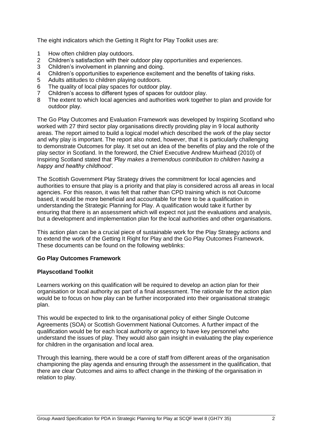The eight indicators which the Getting It Right for Play Toolkit uses are:

- 1 How often children play outdoors.
- 2 Children's satisfaction with their outdoor play opportunities and experiences.
- 3 Children's involvement in planning and doing.
- 4 Children's opportunities to experience excitement and the benefits of taking risks.<br>5 Adults attitudes to children plaving outdoors.
- Adults attitudes to children playing outdoors.
- 6 The quality of local play spaces for outdoor play.<br>7 Children's access to different types of spaces for
- 7 Children's access to different types of spaces for outdoor play.
- 8 The extent to which local agencies and authorities work together to plan and provide for outdoor play.

The Go Play Outcomes and Evaluation Framework was developed by Inspiring Scotland who worked with 27 third sector play organisations directly providing play in 9 local authority areas. The report aimed to build a logical model which described the work of the play sector and why play is important. The report also noted, however, that it is particularly challenging to demonstrate Outcomes for play. It set out an idea of the benefits of play and the role of the play sector in Scotland. In the foreword, the Chief Executive Andrew Muirhead (2010) of Inspiring Scotland stated that *'Play makes a tremendous contribution to children having a happy and healthy childhood'.*

The Scottish Government Play Strategy drives the commitment for local agencies and authorities to ensure that play is a priority and that play is considered across all areas in local agencies. For this reason, it was felt that rather than CPD training which is not Outcome based, it would be more beneficial and accountable for there to be a qualification in understanding the Strategic Planning for Play. A qualification would take it further by ensuring that there is an assessment which will expect not just the evaluations and analysis, but a development and implementation plan for the local authorities and other organisations.

This action plan can be a crucial piece of sustainable work for the Play Strategy actions and to extend the work of the Getting It Right for Play and the Go Play Outcomes Framework. These documents can be found on the following weblinks:

#### **[Go Play Outcomes Framework](file:///E:/Tender%20bid%20info/Frameworks/Validation%20Scottish%20Play%20Certificate/validation%20doc%20for%20scot%20play%20certf%20final%20draft%20v1%2013.0i9.13.docx)**

#### **[Playscotland Toolkit](http://www.playscotland.org/wp-content/uploads/assets/Toolkit.pdf)**

Learners working on this qualification will be required to develop an action plan for their organisation or local authority as part of a final assessment. The rationale for the action plan would be to focus on how play can be further incorporated into their organisational strategic plan.

This would be expected to link to the organisational policy of either Single Outcome Agreements (SOA) or Scottish Government National Outcomes. A further impact of the qualification would be for each local authority or agency to have key personnel who understand the issues of play. They would also gain insight in evaluating the play experience for children in the organisation and local area.

Through this learning, there would be a core of staff from different areas of the organisation championing the play agenda and ensuring through the assessment in the qualification, that there are clear Outcomes and aims to affect change in the thinking of the organisation in relation to play.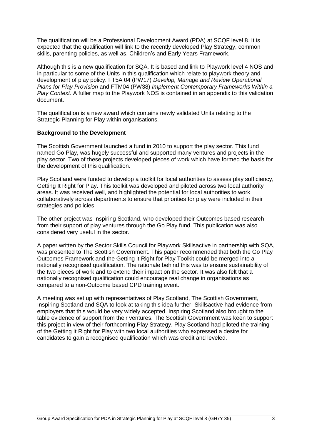The qualification will be a Professional Development Award (PDA) at SCQF level 8. It is expected that the qualification will link to the recently developed Play Strategy, common skills, parenting policies, as well as, Children's and Early Years Framework.

Although this is a new qualification for SQA. It is based and link to Playwork level 4 NOS and in particular to some of the Units in this qualification which relate to playwork theory and development of play policy. FT5A 04 (PW17) *Develop, Manage and Review Operational Plans for Play Provision* and FTM04 (PW38) *Implement Contemporary Frameworks Within a Play Context*. A fuller map to the Playwork NOS is contained in an appendix to this validation document.

The qualification is a new award which contains newly validated Units relating to the Strategic Planning for Play within organisations.

#### **Background to the Development**

The Scottish Government launched a fund in 2010 to support the play sector. This fund named Go Play, was hugely successful and supported many ventures and projects in the play sector. Two of these projects developed pieces of work which have formed the basis for the development of this qualification.

Play Scotland were funded to develop a toolkit for local authorities to assess play sufficiency, Getting It Right for Play. This toolkit was developed and piloted across two local authority areas. It was received well, and highlighted the potential for local authorities to work collaboratively across departments to ensure that priorities for play were included in their strategies and policies.

The other project was Inspiring Scotland, who developed their Outcomes based research from their support of play ventures through the Go Play fund. This publication was also considered very useful in the sector.

A paper written by the Sector Skills Council for Playwork Skillsactive in partnership with SQA, was presented to The Scottish Government. This paper recommended that both the Go Play Outcomes Framework and the Getting it Right for Play Toolkit could be merged into a nationally recognised qualification. The rationale behind this was to ensure sustainability of the two pieces of work and to extend their impact on the sector. It was also felt that a nationally recognised qualification could encourage real change in organisations as compared to a non-Outcome based CPD training event.

A meeting was set up with representatives of Play Scotland, The Scottish Government, Inspiring Scotland and SQA to look at taking this idea further. Skillsactive had evidence from employers that this would be very widely accepted. Inspiring Scotland also brought to the table evidence of support from their ventures. The Scottish Government was keen to support this project in view of their forthcoming Play Strategy, Play Scotland had piloted the training of the Getting It Right for Play with two local authorities who expressed a desire for candidates to gain a recognised qualification which was credit and leveled.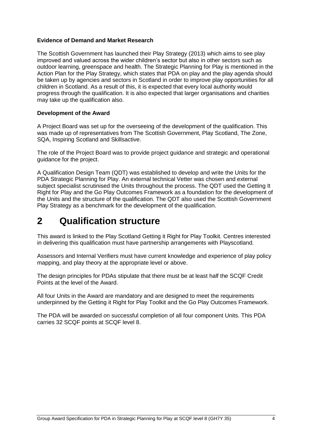#### **Evidence of Demand and Market Research**

The Scottish Government has launched their Play Strategy (2013) which aims to see play improved and valued across the wider children's sector but also in other sectors such as outdoor learning, greenspace and health. The Strategic Planning for Play is mentioned in the Action Plan for the Play Strategy, which states that PDA on play and the play agenda should be taken up by agencies and sectors in Scotland in order to improve play opportunities for all children in Scotland. As a result of this, it is expected that every local authority would progress through the qualification. It is also expected that larger organisations and charities may take up the qualification also.

#### **Development of the Award**

A Project Board was set up for the overseeing of the development of the qualification. This was made up of representatives from The Scottish Government, Play Scotland, The Zone, SQA, Inspiring Scotland and Skillsactive.

The role of the Project Board was to provide project guidance and strategic and operational guidance for the project.

A Qualification Design Team (QDT) was established to develop and write the Units for the PDA Strategic Planning for Play. An external technical Vetter was chosen and external subject specialist scrutinised the Units throughout the process. The QDT used the Getting It Right for Play and the Go Play Outcomes Framework as a foundation for the development of the Units and the structure of the qualification. The QDT also used the Scottish Government Play Strategy as a benchmark for the development of the qualification.

## <span id="page-5-0"></span>**2 Qualification structure**

This award is linked to the Play Scotland Getting it Right for Play Toolkit. Centres interested in delivering this qualification must have partnership arrangements with Playscotland.

Assessors and Internal Verifiers must have current knowledge and experience of play policy mapping, and play theory at the appropriate level or above.

The design principles for PDAs stipulate that there must be at least half the SCQF Credit Points at the level of the Award.

All four Units in the Award are mandatory and are designed to meet the requirements underpinned by the Getting it Right for Play Toolkit and the Go Play Outcomes Framework.

The PDA will be awarded on successful completion of all four component Units. This PDA carries 32 SCQF points at SCQF level 8.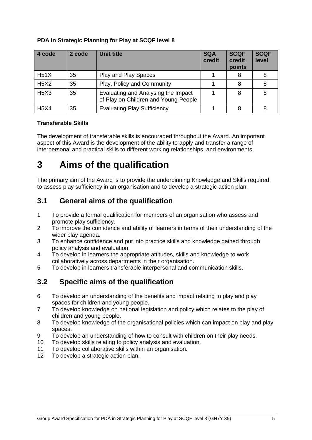### **PDA in Strategic Planning for Play at SCQF level 8**

| 4 code      | 2 code | <b>Unit title</b>                                                           | <b>SQA</b><br>credit | <b>SCQF</b><br>credit<br>points | <b>SCQF</b><br>level |
|-------------|--------|-----------------------------------------------------------------------------|----------------------|---------------------------------|----------------------|
| H51X        | 35     | Play and Play Spaces                                                        |                      |                                 |                      |
| <b>H5X2</b> | 35     | Play, Policy and Community                                                  |                      |                                 |                      |
| <b>H5X3</b> | 35     | Evaluating and Analysing the Impact<br>of Play on Children and Young People |                      | 8                               |                      |
| <b>H5X4</b> | 35     | <b>Evaluating Play Sufficiency</b>                                          |                      |                                 |                      |

### **Transferable Skills**

The development of transferable skills is encouraged throughout the Award. An important aspect of this Award is the development of the ability to apply and transfer a range of interpersonal and practical skills to different working relationships, and environments.

## <span id="page-6-0"></span>**3 Aims of the qualification**

The primary aim of the Award is to provide the underpinning Knowledge and Skills required to assess play sufficiency in an organisation and to develop a strategic action plan.

### <span id="page-6-1"></span>**3.1 General aims of the qualification**

- 1 To provide a formal qualification for members of an organisation who assess and promote play sufficiency.
- 2 To improve the confidence and ability of learners in terms of their understanding of the wider play agenda.
- 3 To enhance confidence and put into practice skills and knowledge gained through policy analysis and evaluation.
- 4 To develop in learners the appropriate attitudes, skills and knowledge to work collaboratively across departments in their organisation.
- 5 To develop in learners transferable interpersonal and communication skills.

### <span id="page-6-2"></span>**3.2 Specific aims of the qualification**

- 6 To develop an understanding of the benefits and impact relating to play and play spaces for children and young people.
- 7 To develop knowledge on national legislation and policy which relates to the play of children and young people.
- 8 To develop knowledge of the organisational policies which can impact on play and play spaces.
- 9 To develop an understanding of how to consult with children on their play needs.
- 10 To develop skills relating to policy analysis and evaluation.
- 11 To develop collaborative skills within an organisation.
- 12 To develop a strategic action plan.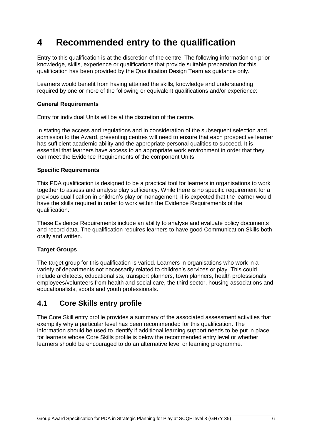## <span id="page-7-0"></span>**4 Recommended entry to the qualification**

Entry to this qualification is at the discretion of the centre. The following information on prior knowledge, skills, experience or qualifications that provide suitable preparation for this qualification has been provided by the Qualification Design Team as guidance only.

Learners would benefit from having attained the skills, knowledge and understanding required by one or more of the following or equivalent qualifications and/or experience:

#### **General Requirements**

Entry for individual Units will be at the discretion of the centre.

In stating the access and regulations and in consideration of the subsequent selection and admission to the Award, presenting centres will need to ensure that each prospective learner has sufficient academic ability and the appropriate personal qualities to succeed. It is essential that learners have access to an appropriate work environment in order that they can meet the Evidence Requirements of the component Units.

#### **Specific Requirements**

This PDA qualification is designed to be a practical tool for learners in organisations to work together to assess and analyse play sufficiency. While there is no specific requirement for a previous qualification in children's play or management, it is expected that the learner would have the skills required in order to work within the Evidence Requirements of the qualification.

These Evidence Requirements include an ability to analyse and evaluate policy documents and record data. The qualification requires learners to have good Communication Skills both orally and written.

### **Target Groups**

The target group for this qualification is varied. Learners in organisations who work in a variety of departments not necessarily related to children's services or play. This could include architects, educationalists, transport planners, town planners, health professionals, employees/volunteers from health and social care, the third sector, housing associations and educationalists, sports and youth professionals.

### <span id="page-7-1"></span>**4.1 Core Skills entry profile**

The Core Skill entry profile provides a summary of the associated assessment activities that exemplify why a particular level has been recommended for this qualification. The information should be used to identify if additional learning support needs to be put in place for learners whose Core Skills profile is below the recommended entry level or whether learners should be encouraged to do an alternative level or learning programme.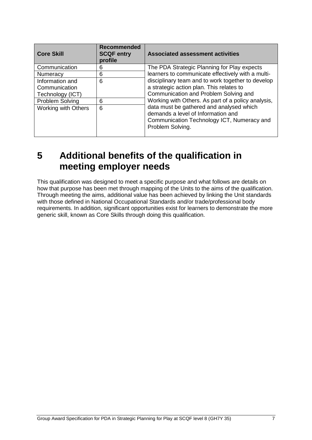| <b>Core Skill</b>                                    | <b>Recommended</b><br><b>SCQF entry</b><br>profile | <b>Associated assessment activities</b>                                                                                                          |
|------------------------------------------------------|----------------------------------------------------|--------------------------------------------------------------------------------------------------------------------------------------------------|
| Communication                                        | 6                                                  | The PDA Strategic Planning for Play expects                                                                                                      |
| Numeracy                                             | 6                                                  | learners to communicate effectively with a multi-                                                                                                |
| Information and<br>Communication<br>Technology (ICT) | 6                                                  | disciplinary team and to work together to develop<br>a strategic action plan. This relates to<br>Communication and Problem Solving and           |
| <b>Problem Solving</b>                               | 6                                                  | Working with Others. As part of a policy analysis,                                                                                               |
| <b>Working with Others</b>                           | 6                                                  | data must be gathered and analysed which<br>demands a level of Information and<br>Communication Technology ICT, Numeracy and<br>Problem Solving. |

## <span id="page-8-0"></span>**5 Additional benefits of the qualification in meeting employer needs**

This qualification was designed to meet a specific purpose and what follows are details on how that purpose has been met through mapping of the Units to the aims of the qualification. Through meeting the aims, additional value has been achieved by linking the Unit standards with those defined in National Occupational Standards and/or trade/professional body requirements. In addition, significant opportunities exist for learners to demonstrate the more generic skill, known as Core Skills through doing this qualification.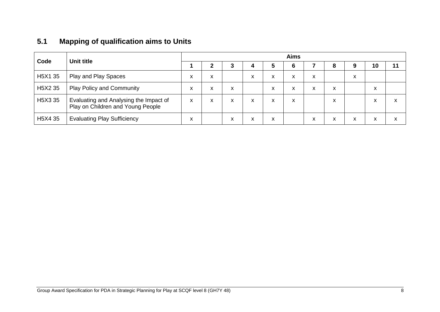## **5.1 Mapping of qualification aims to Units**

<span id="page-9-0"></span>

| Code                             | Unit title                                                                  | <b>Aims</b> |   |                   |                   |                   |   |   |   |   |    |                   |
|----------------------------------|-----------------------------------------------------------------------------|-------------|---|-------------------|-------------------|-------------------|---|---|---|---|----|-------------------|
|                                  |                                                                             |             |   | 3                 | 4                 | 5                 | 6 |   | 8 | 9 | 10 | 11                |
| H5X1 35                          | Play and Play Spaces                                                        | x           | x |                   | $\checkmark$<br>⋏ | X                 | X | X |   | X |    |                   |
| H <sub>5</sub> X <sub>2</sub> 35 | <b>Play Policy and Community</b>                                            | x           | ^ | $\checkmark$<br>ᄉ |                   | $\checkmark$<br>Y | x | X | X |   | X  |                   |
| H <sub>5</sub> X <sub>3</sub> 35 | Evaluating and Analysing the Impact of<br>Play on Children and Young People | x           | x | x                 | x                 | x                 | X |   | x |   | X  | $\mathbf{v}$<br>ж |
| H <sub>5</sub> X4 35             | <b>Evaluating Play Sufficiency</b>                                          | v<br>⋏      |   |                   | x                 | x                 |   | X | X | X | X  | ᄉ                 |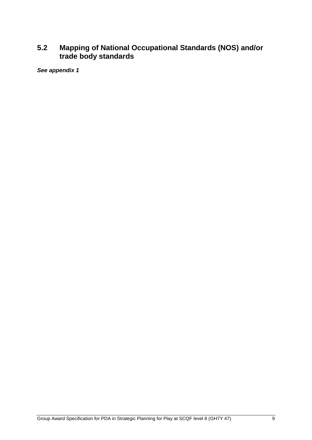### <span id="page-10-0"></span>**5.2 Mapping of National Occupational Standards (NOS) and/or trade body standards**

*See appendix 1*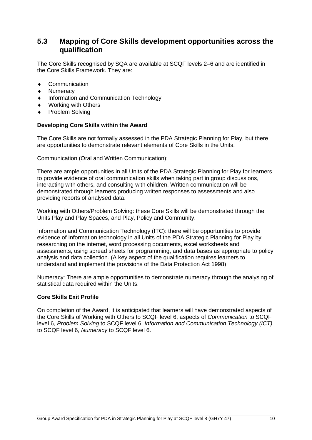### <span id="page-11-0"></span>**5.3 Mapping of Core Skills development opportunities across the qualification**

The Core Skills recognised by SQA are available at SCQF levels 2–6 and are identified in the Core Skills Framework. They are:

- **Communication**
- **Numeracy**
- Information and Communication Technology
- Working with Others
- Problem Solving

#### **Developing Core Skills within the Award**

The Core Skills are not formally assessed in the PDA Strategic Planning for Play, but there are opportunities to demonstrate relevant elements of Core Skills in the Units.

Communication (Oral and Written Communication):

There are ample opportunities in all Units of the PDA Strategic Planning for Play for learners to provide evidence of oral communication skills when taking part in group discussions, interacting with others, and consulting with children. Written communication will be demonstrated through learners producing written responses to assessments and also providing reports of analysed data.

Working with Others/Problem Solving: these Core Skills will be demonstrated through the Units Play and Play Spaces, and Play, Policy and Community.

Information and Communication Technology (ITC): there will be opportunities to provide evidence of Information technology in all Units of the PDA Strategic Planning for Play by researching on the internet, word processing documents, excel worksheets and assessments, using spread sheets for programming, and data bases as appropriate to policy analysis and data collection. (A key aspect of the qualification requires learners to understand and implement the provisions of the Data Protection Act 1998).

Numeracy: There are ample opportunities to demonstrate numeracy through the analysing of statistical data required within the Units.

#### **Core Skills Exit Profile**

On completion of the Award, it is anticipated that learners will have demonstrated aspects of the Core Skills of Working with Others to SCQF level 6, aspects of *Communication* to SCQF level 6, *Problem Solving* to SCQF level 6, *Information and Communication Technology (ICT)* to SCQF level 6, *Numeracy* to SCQF level 6.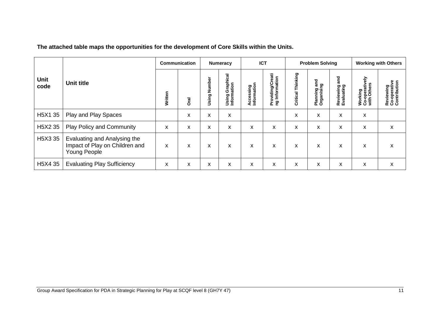|                     |                                                                                       |         | Communication |                                      | <b>Numeracy</b>                              |                          | <b>ICT</b>                                |                      | <b>Problem Solving</b>           |                                |                                                                | <b>Working with Others</b>                |
|---------------------|---------------------------------------------------------------------------------------|---------|---------------|--------------------------------------|----------------------------------------------|--------------------------|-------------------------------------------|----------------------|----------------------------------|--------------------------------|----------------------------------------------------------------|-------------------------------------------|
| <b>Unit</b><br>code | <b>Unit title</b>                                                                     | Written | <b>Dral</b>   | mber<br>ž<br>ත<br>$\frac{1}{5}$<br>₿ | aphical<br>ã<br>ਛੋ<br>ق<br>ත<br>Usin<br>Info | Accessing<br>Information | <b>Providing/Creati</b><br>ng Information | Thinking<br>Critical | and<br>Planning an<br>Organising | and<br>Reviewing<br>Evaluating | --operatively<br>th Others<br>Working<br>Co-opera<br>with Othe | Reviewing<br>Co-operative<br>Contribution |
| H5X1 35             | Play and Play Spaces                                                                  |         | X             | X                                    | X                                            |                          |                                           | X                    | x                                | X                              | X                                                              |                                           |
| H5X2 35             | <b>Play Policy and Community</b>                                                      | X       | X             | X                                    | X                                            | X                        | X                                         | X                    | X                                | X                              | X                                                              | X                                         |
| H5X3 35             | Evaluating and Analysing the<br>Impact of Play on Children and<br><b>Young People</b> | X       | x             | X                                    | X                                            | X                        | X                                         | X                    | X                                | X                              | X                                                              | x                                         |
| H5X4 35             | <b>Evaluating Play Sufficiency</b>                                                    | X       | X             | x                                    | X                                            | X                        | x                                         | x                    | X                                | X                              | X                                                              | X                                         |

**The attached table maps the opportunities for the development of Core Skills within the Units.**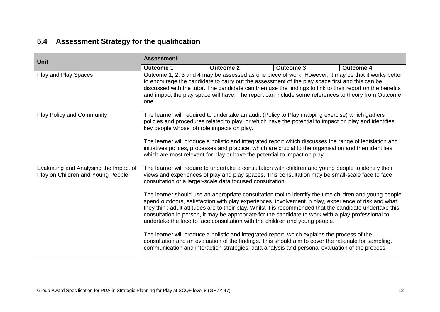## **5.4 Assessment Strategy for the qualification**

<span id="page-13-0"></span>

| <b>Unit</b>                                                                 | <b>Assessment</b>                                                                                                                                                                                                                                                                                                                                                                                                                                                                                                                                       |                                                                                                                                                                                                                                                                                                                                                                                                                                                                                                                                                                                                                                                                                                                                                                                                                                                                                                                                                                                             |                  |                                                                                                        |  |  |  |
|-----------------------------------------------------------------------------|---------------------------------------------------------------------------------------------------------------------------------------------------------------------------------------------------------------------------------------------------------------------------------------------------------------------------------------------------------------------------------------------------------------------------------------------------------------------------------------------------------------------------------------------------------|---------------------------------------------------------------------------------------------------------------------------------------------------------------------------------------------------------------------------------------------------------------------------------------------------------------------------------------------------------------------------------------------------------------------------------------------------------------------------------------------------------------------------------------------------------------------------------------------------------------------------------------------------------------------------------------------------------------------------------------------------------------------------------------------------------------------------------------------------------------------------------------------------------------------------------------------------------------------------------------------|------------------|--------------------------------------------------------------------------------------------------------|--|--|--|
|                                                                             | <b>Outcome 1</b>                                                                                                                                                                                                                                                                                                                                                                                                                                                                                                                                        | <b>Outcome 2</b>                                                                                                                                                                                                                                                                                                                                                                                                                                                                                                                                                                                                                                                                                                                                                                                                                                                                                                                                                                            | <b>Outcome 3</b> | <b>Outcome 4</b>                                                                                       |  |  |  |
| Play and Play Spaces                                                        | Outcome 1, 2, 3 and 4 may be assessed as one piece of work. However, it may be that it works better<br>to encourage the candidate to carry out the assessment of the play space first and this can be<br>discussed with the tutor. The candidate can then use the findings to link to their report on the benefits<br>and impact the play space will have. The report can include some references to theory from Outcome<br>one.                                                                                                                        |                                                                                                                                                                                                                                                                                                                                                                                                                                                                                                                                                                                                                                                                                                                                                                                                                                                                                                                                                                                             |                  |                                                                                                        |  |  |  |
| <b>Play Policy and Community</b>                                            | The learner will required to undertake an audit (Policy to Play mapping exercise) which gathers<br>policies and procedures related to play, or which have the potential to impact on play and identifies<br>key people whose job role impacts on play.<br>The learner will produce a holistic and integrated report which discusses the range of legislation and<br>initiatives polices, processes and practice, which are crucial to the organisation and then identifies<br>which are most relevant for play or have the potential to impact on play. |                                                                                                                                                                                                                                                                                                                                                                                                                                                                                                                                                                                                                                                                                                                                                                                                                                                                                                                                                                                             |                  |                                                                                                        |  |  |  |
| Evaluating and Analysing the Impact of<br>Play on Children and Young People |                                                                                                                                                                                                                                                                                                                                                                                                                                                                                                                                                         | The learner will require to undertake a consultation with children and young people to identify their<br>views and experiences of play and play spaces. This consultation may be small-scale face to face<br>consultation or a larger-scale data focused consultation.<br>spend outdoors, satisfaction with play experiences, involvement in play, experience of risk and what<br>they think adult attitudes are to their play. Whilst it is recommended that the candidate undertake this<br>consultation in person, it may be appropriate for the candidate to work with a play professional to<br>undertake the face to face consultation with the children and young people.<br>The learner will produce a holistic and integrated report, which explains the process of the<br>consultation and an evaluation of the findings. This should aim to cover the rationale for sampling,<br>communication and interaction strategies, data analysis and personal evaluation of the process. |                  | The learner should use an appropriate consultation tool to identify the time children and young people |  |  |  |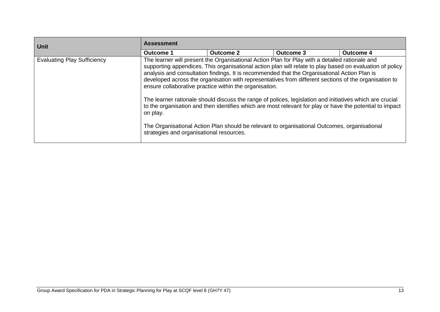| <b>Unit</b>                        | <b>Assessment</b>                                    |                                                                                                                                                                                                                                                                                                                                                                                                                                                                                                                                                                                                                                                                                                                                                                                                       |           |                  |  |  |  |
|------------------------------------|------------------------------------------------------|-------------------------------------------------------------------------------------------------------------------------------------------------------------------------------------------------------------------------------------------------------------------------------------------------------------------------------------------------------------------------------------------------------------------------------------------------------------------------------------------------------------------------------------------------------------------------------------------------------------------------------------------------------------------------------------------------------------------------------------------------------------------------------------------------------|-----------|------------------|--|--|--|
|                                    | <b>Outcome 1</b>                                     | <b>Outcome 2</b>                                                                                                                                                                                                                                                                                                                                                                                                                                                                                                                                                                                                                                                                                                                                                                                      | Outcome 3 | <b>Outcome 4</b> |  |  |  |
| <b>Evaluating Play Sufficiency</b> | on play.<br>strategies and organisational resources. | The learner will present the Organisational Action Plan for Play with a detailed rationale and<br>supporting appendices. This organisational action plan will relate to play based on evaluation of policy<br>analysis and consultation findings. It is recommended that the Organisational Action Plan is<br>developed across the organisation with representatives from different sections of the organisation to<br>ensure collaborative practice within the organisation.<br>The learner rationale should discuss the range of polices, legislation and initiatives which are crucial<br>to the organisation and then identifies which are most relevant for play or have the potential to impact<br>The Organisational Action Plan should be relevant to organisational Outcomes, organisational |           |                  |  |  |  |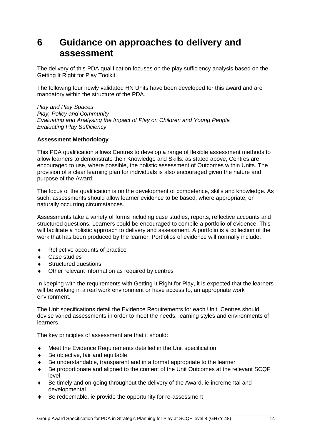## <span id="page-15-0"></span>**6 Guidance on approaches to delivery and assessment**

The delivery of this PDA qualification focuses on the play sufficiency analysis based on the Getting It Right for Play Toolkit.

The following four newly validated HN Units have been developed for this award and are mandatory within the structure of the PDA.

*Play and Play Spaces Play, Policy and Community Evaluating and Analysing the Impact of Play on Children and Young People Evaluating Play Sufficiency*

#### **Assessment Methodology**

This PDA qualification allows Centres to develop a range of flexible assessment methods to allow learners to demonstrate their Knowledge and Skills: as stated above, Centres are encouraged to use, where possible, the holistic assessment of Outcomes within Units. The provision of a clear learning plan for individuals is also encouraged given the nature and purpose of the Award.

The focus of the qualification is on the development of competence, skills and knowledge. As such, assessments should allow learner evidence to be based, where appropriate, on naturally occurring circumstances.

Assessments take a variety of forms including case studies, reports, reflective accounts and structured questions. Learners could be encouraged to compile a portfolio of evidence. This will facilitate a holistic approach to delivery and assessment. A portfolio is a collection of the work that has been produced by the learner. Portfolios of evidence will normally include:

- ◆ Reflective accounts of practice
- ◆ Case studies
- Structured questions
- Other relevant information as required by centres

In keeping with the requirements with Getting It Right for Play, it is expected that the learners will be working in a real work environment or have access to, an appropriate work environment.

The Unit specifications detail the Evidence Requirements for each Unit. Centres should devise varied assessments in order to meet the needs, learning styles and environments of learners.

The key principles of assessment are that it should:

- Meet the Evidence Requirements detailed in the Unit specification
- ◆ Be objective, fair and equitable
- Be understandable, transparent and in a format appropriate to the learner
- Be proportionate and aligned to the content of the Unit Outcomes at the relevant SCQF level
- Be timely and on-going throughout the delivery of the Award, ie incremental and developmental
- Be redeemable, ie provide the opportunity for re-assessment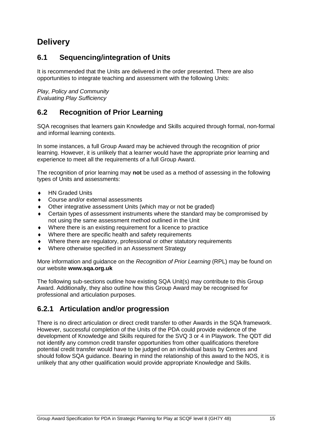## **Delivery**

### <span id="page-16-0"></span>**6.1 Sequencing/integration of Units**

It is recommended that the Units are delivered in the order presented. There are also opportunities to integrate teaching and assessment with the following Units:

*Play, Policy and Community Evaluating Play Sufficiency*

### <span id="page-16-1"></span>**6.2 Recognition of Prior Learning**

SQA recognises that learners gain Knowledge and Skills acquired through formal, non-formal and informal learning contexts.

In some instances, a full Group Award may be achieved through the recognition of prior learning. However, it is unlikely that a learner would have the appropriate prior learning and experience to meet all the requirements of a full Group Award.

The recognition of prior learning may **not** be used as a method of assessing in the following types of Units and assessments:

- ◆ HN Graded Units
- Course and/or external assessments
- Other integrative assessment Units (which may or not be graded)
- Certain types of assessment instruments where the standard may be compromised by not using the same assessment method outlined in the Unit
- Where there is an existing requirement for a licence to practice
- Where there are specific health and safety requirements
- Where there are regulatory, professional or other statutory requirements
- Where otherwise specified in an Assessment Strategy

More information and guidance on the *Recognition of Prior Learning* (RPL) may be found on our website **[www.sqa.org.uk](http://www.sqa.org.uk/)**

The following sub-sections outline how existing SQA Unit(s) may contribute to this Group Award. Additionally, they also outline how this Group Award may be recognised for professional and articulation purposes.

### **6.2.1 Articulation and/or progression**

There is no direct articulation or direct credit transfer to other Awards in the SQA framework. However, successful completion of the Units of the PDA could provide evidence of the development of Knowledge and Skills required for the SVQ 3 or 4 in Playwork. The QDT did not identify any common credit transfer opportunities from other qualifications therefore potential credit transfer would have to be judged on an individual basis by Centres and should follow SQA guidance. Bearing in mind the relationship of this award to the NOS, it is unlikely that any other qualification would provide appropriate Knowledge and Skills.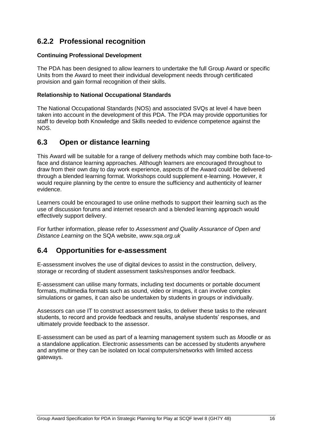### **6.2.2 Professional recognition**

#### **Continuing Professional Development**

The PDA has been designed to allow learners to undertake the full Group Award or specific Units from the Award to meet their individual development needs through certificated provision and gain formal recognition of their skills.

#### **Relationship to National Occupational Standards**

The National Occupational Standards (NOS) and associated SVQs at level 4 have been taken into account in the development of this PDA. The PDA may provide opportunities for staff to develop both Knowledge and Skills needed to evidence competence against the NOS.

### <span id="page-17-0"></span>**6.3 Open or distance learning**

This Award will be suitable for a range of delivery methods which may combine both face-toface and distance learning approaches. Although learners are encouraged throughout to draw from their own day to day work experience, aspects of the Award could be delivered through a blended learning format. Workshops could supplement e-learning. However, it would require planning by the centre to ensure the sufficiency and authenticity of learner evidence.

Learners could be encouraged to use online methods to support their learning such as the use of discussion forums and internet research and a blended learning approach would effectively support delivery.

For further information, please refer to *Assessment and Quality Assurance of Open and Distance Learning* on the SQA website, *www.sqa.org.uk*

### <span id="page-17-1"></span>**6.4 Opportunities for e-assessment**

E-assessment involves the use of digital devices to assist in the construction, delivery, storage or recording of student assessment tasks/responses and/or feedback.

E-assessment can utilise many formats, including text documents or portable document formats, multimedia formats such as sound, video or images, it can involve complex simulations or games, it can also be undertaken by students in groups or individually.

Assessors can use IT to construct assessment tasks, to deliver these tasks to the relevant students, to record and provide feedback and results, analyse students' responses, and ultimately provide feedback to the assessor.

E-assessment can be used as part of a learning management system such as *Moodle* or as a standalone application. Electronic assessments can be accessed by students anywhere and anytime or they can be isolated on local computers/networks with limited access gateways.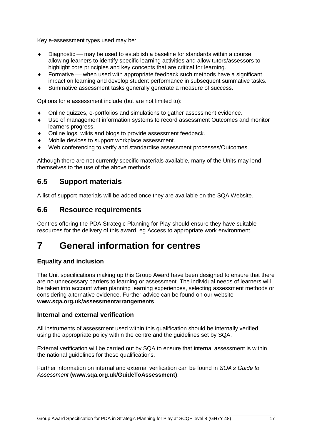Key e-assessment types used may be:

- Diagnostic may be used to establish a baseline for standards within a course, allowing learners to identify specific learning activities and allow tutors/assessors to highlight core principles and key concepts that are critical for learning.
- Formative when used with appropriate feedback such methods have a significant impact on learning and develop student performance in subsequent summative tasks.
- Summative assessment tasks generally generate a measure of success.

Options for e assessment include (but are not limited to):

- Online quizzes, e-portfolios and simulations to gather assessment evidence.
- Use of management information systems to record assessment Outcomes and monitor learners progress.
- Online logs, wikis and blogs to provide assessment feedback.
- Mobile devices to support workplace assessment.
- Web conferencing to verify and standardise assessment processes/Outcomes.

Although there are not currently specific materials available, many of the Units may lend themselves to the use of the above methods.

### <span id="page-18-0"></span>**6.5 Support materials**

A [list of support materials will be added once they are available on the SQA Website.](http://www.sqa.org.uk/sqa/46233.2769.html)

### <span id="page-18-1"></span>**6.6 Resource requirements**

Centres offering the PDA Strategic Planning for Play should ensure they have suitable resources for the delivery of this award, eg Access to appropriate work environment.

## <span id="page-18-2"></span>**7 General information for centres**

### **Equality and inclusion**

The Unit specifications making up this Group Award have been designed to ensure that there are no unnecessary barriers to learning or assessment. The individual needs of learners will be taken into account when planning learning experiences, selecting assessment methods or considering alternative evidence. Further advice can be found on our website **[www.sqa.org.uk/assessmentarrangements](http://www.sqa.org.uk/sqa/14977.html)**

#### **Internal and external verification**

All instruments of assessment used within this qualification should be internally verified, using the appropriate policy within the centre and the guidelines set by SQA.

External verification will be carried out by SQA to ensure that internal assessment is within the national guidelines for these qualifications.

Further information on internal and external verification can be found in *SQA's Guide to Assessment* **[\(www.sqa.org.uk/GuideToAssessment\)](http://www.sqa.org.uk/sqa/files_ccc/GuideToAssessment.pdf)**.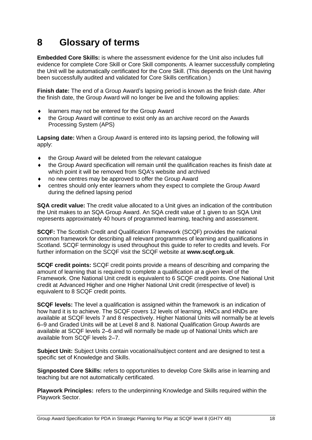## <span id="page-19-0"></span>**8 Glossary of terms**

**Embedded Core Skills:** is where the assessment evidence for the Unit also includes full evidence for complete Core Skill or Core Skill components. A learner successfully completing the Unit will be automatically certificated for the Core Skill. (This depends on the Unit having been successfully audited and validated for Core Skills certification.)

**Finish date:** The end of a Group Award's lapsing period is known as the finish date. After the finish date, the Group Award will no longer be live and the following applies:

- learners may not be entered for the Group Award
- the Group Award will continue to exist only as an archive record on the Awards Processing System (APS)

**Lapsing date:** When a Group Award is entered into its lapsing period, the following will apply:

- the Group Award will be deleted from the relevant catalogue
- the Group Award specification will remain until the qualification reaches its finish date at which point it will be removed from SQA's website and archived
- no new centres may be approved to offer the Group Award
- centres should only enter learners whom they expect to complete the Group Award during the defined lapsing period

**SQA credit value:** The credit value allocated to a Unit gives an indication of the contribution the Unit makes to an SQA Group Award. An SQA credit value of 1 given to an SQA Unit represents approximately 40 hours of programmed learning, teaching and assessment.

**SCQF:** The Scottish Credit and Qualification Framework (SCQF) provides the national common framework for describing all relevant programmes of learning and qualifications in Scotland. SCQF terminology is used throughout this guide to refer to credits and levels. For further information on the SCQF visit the SCQF website at **[www.scqf.org.uk](http://www.scqf.org.uk/)**.

**SCQF credit points:** SCQF credit points provide a means of describing and comparing the amount of learning that is required to complete a qualification at a given level of the Framework. One National Unit credit is equivalent to 6 SCQF credit points. One National Unit credit at Advanced Higher and one Higher National Unit credit (irrespective of level) is equivalent to 8 SCQF credit points.

**SCQF levels:** The level a qualification is assigned within the framework is an indication of how hard it is to achieve. The SCQF covers 12 levels of learning. HNCs and HNDs are available at SCQF levels 7 and 8 respectively. Higher National Units will normally be at levels 6–9 and Graded Units will be at Level 8 and 8. National Qualification Group Awards are available at SCQF levels 2–6 and will normally be made up of National Units which are available from SCQF levels 2–7.

**Subject Unit:** Subject Units contain vocational/subject content and are designed to test a specific set of Knowledge and Skills.

**Signposted Core Skills:** refers to opportunities to develop Core Skills arise in learning and teaching but are not automatically certificated.

**Playwork Principles:** refers to the underpinning Knowledge and Skills required within the Playwork Sector.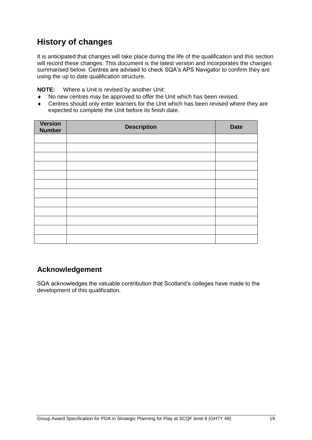## **History of changes**

It is anticipated that changes will take place during the life of the qualification and this section will record these changes. This document is the latest version and incorporates the changes summarised below. Centres are advised to check SQA's APS Navigator to confirm they are using the up to date qualification structure.

**NOTE:** Where a Unit is revised by another Unit:

- No new centres may be approved to offer the Unit which has been revised.
- Centres should only enter learners for the Unit which has been revised where they are expected to complete the Unit before its finish date.

| Version<br><b>Number</b> | <b>Description</b> | <b>Date</b> |
|--------------------------|--------------------|-------------|
|                          |                    |             |
|                          |                    |             |
|                          |                    |             |
|                          |                    |             |
|                          |                    |             |
|                          |                    |             |
|                          |                    |             |
|                          |                    |             |
|                          |                    |             |
|                          |                    |             |
|                          |                    |             |
|                          |                    |             |

### **Acknowledgement**

SQA acknowledges the valuable contribution that Scotland's colleges have made to the development of this qualification.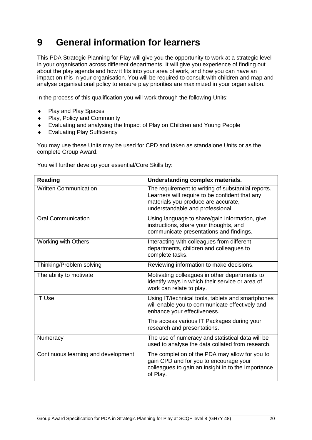## <span id="page-21-0"></span>**9 General information for learners**

This PDA Strategic Planning for Play will give you the opportunity to work at a strategic level in your organisation across different departments. It will give you experience of finding out about the play agenda and how it fits into your area of work, and how you can have an impact on this in your organisation. You will be required to consult with children and map and analyse organisational policy to ensure play priorities are maximized in your organisation.

In the process of this qualification you will work through the following Units:

- ◆ Play and Play Spaces
- Play, Policy and Community
- Evaluating and analysing the Impact of Play on Children and Young People
- Evaluating Play Sufficiency

You may use these Units may be used for CPD and taken as standalone Units or as the complete Group Award.

You will further develop your essential/Core Skills by:

| <b>Reading</b>                      | Understanding complex materials.                                                                                                                                                |
|-------------------------------------|---------------------------------------------------------------------------------------------------------------------------------------------------------------------------------|
| <b>Written Communication</b>        | The requirement to writing of substantial reports.<br>Learners will require to be confident that any<br>materials you produce are accurate,<br>understandable and professional. |
| <b>Oral Communication</b>           | Using language to share/gain information, give<br>instructions, share your thoughts, and<br>communicate presentations and findings.                                             |
| <b>Working with Others</b>          | Interacting with colleagues from different<br>departments, children and colleagues to<br>complete tasks.                                                                        |
| Thinking/Problem solving            | Reviewing information to make decisions.                                                                                                                                        |
| The ability to motivate             | Motivating colleagues in other departments to<br>identify ways in which their service or area of<br>work can relate to play.                                                    |
| <b>IT Use</b>                       | Using IT/technical tools, tablets and smartphones<br>will enable you to communicate effectively and<br>enhance your effectiveness.                                              |
|                                     | The access various IT Packages during your<br>research and presentations.                                                                                                       |
| Numeracy                            | The use of numeracy and statistical data will be<br>used to analyse the data collated from research.                                                                            |
| Continuous learning and development | The completion of the PDA may allow for you to<br>gain CPD and for you to encourage your<br>colleagues to gain an insight in to the Importance<br>of Play.                      |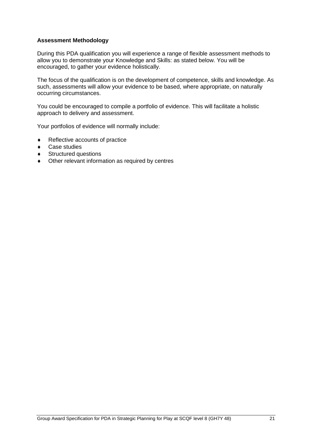#### **Assessment Methodology**

During this PDA qualification you will experience a range of flexible assessment methods to allow you to demonstrate your Knowledge and Skills: as stated below. You will be encouraged, to gather your evidence holistically.

The focus of the qualification is on the development of competence, skills and knowledge. As such, assessments will allow your evidence to be based, where appropriate, on naturally occurring circumstances.

You could be encouraged to compile a portfolio of evidence. This will facilitate a holistic approach to delivery and assessment.

Your portfolios of evidence will normally include:

- ◆ Reflective accounts of practice
- ◆ Case studies
- ◆ Structured questions
- Other relevant information as required by centres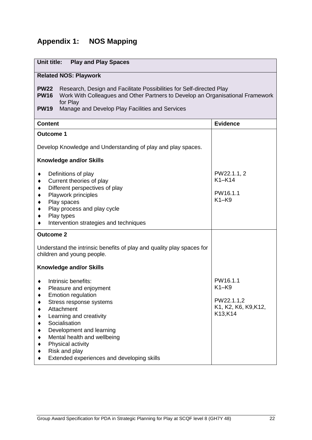## <span id="page-23-0"></span>**Appendix 1: NOS Mapping**

| Unit title:<br><b>Play and Play Spaces</b>                                                                                                                                                                                                                                                                     |                                                                    |  |  |
|----------------------------------------------------------------------------------------------------------------------------------------------------------------------------------------------------------------------------------------------------------------------------------------------------------------|--------------------------------------------------------------------|--|--|
| <b>Related NOS: Playwork</b>                                                                                                                                                                                                                                                                                   |                                                                    |  |  |
| <b>PW22</b><br>Research, Design and Facilitate Possibilities for Self-directed Play<br>Work With Colleagues and Other Partners to Develop an Organisational Framework<br><b>PW16</b><br>for Play<br>Manage and Develop Play Facilities and Services<br><b>PW19</b>                                             |                                                                    |  |  |
| <b>Content</b>                                                                                                                                                                                                                                                                                                 | <b>Evidence</b>                                                    |  |  |
| <b>Outcome 1</b>                                                                                                                                                                                                                                                                                               |                                                                    |  |  |
| Develop Knowledge and Understanding of play and play spaces.                                                                                                                                                                                                                                                   |                                                                    |  |  |
| <b>Knowledge and/or Skills</b>                                                                                                                                                                                                                                                                                 |                                                                    |  |  |
| Definitions of play<br>٠<br>Current theories of play<br>Different perspectives of play<br>٠<br>Playwork principles<br>Play spaces<br>٠<br>Play process and play cycle<br>Play types<br>Intervention strategies and techniques                                                                                  | PW22.1.1, 2<br>$K1-K14$<br>PW16.1.1<br>$K1-K9$                     |  |  |
| <b>Outcome 2</b>                                                                                                                                                                                                                                                                                               |                                                                    |  |  |
| Understand the intrinsic benefits of play and quality play spaces for<br>children and young people.                                                                                                                                                                                                            |                                                                    |  |  |
| <b>Knowledge and/or Skills</b>                                                                                                                                                                                                                                                                                 |                                                                    |  |  |
| Intrinsic benefits:<br>Pleasure and enjoyment<br><b>Emotion regulation</b><br>Stress response systems<br>Attachment<br>Learning and creativity<br>Socialisation<br>Development and learning<br>Mental health and wellbeing<br>Physical activity<br>Risk and play<br>Extended experiences and developing skills | PW16.1.1<br>K1-K9<br>PW22.1.1,2<br>K1, K2, K6, K9, K12,<br>K13,K14 |  |  |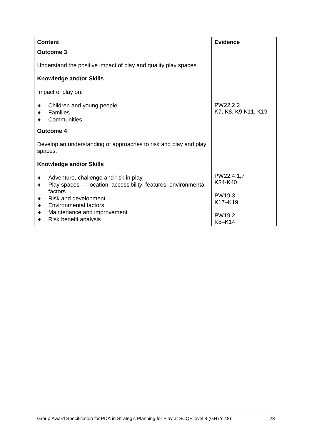| <b>Content</b>                                                                                          | <b>Evidence</b>                  |  |  |  |
|---------------------------------------------------------------------------------------------------------|----------------------------------|--|--|--|
| <b>Outcome 3</b>                                                                                        |                                  |  |  |  |
| Understand the positive impact of play and quality play spaces.                                         |                                  |  |  |  |
| <b>Knowledge and/or Skills</b>                                                                          |                                  |  |  |  |
| Impact of play on:                                                                                      |                                  |  |  |  |
| Children and young people<br>Families<br>Communities                                                    | PW22.2.2<br>K7, K8, K9, K11, K19 |  |  |  |
| <b>Outcome 4</b>                                                                                        |                                  |  |  |  |
| Develop an understanding of approaches to risk and play and play<br>spaces.                             |                                  |  |  |  |
| <b>Knowledge and/or Skills</b>                                                                          |                                  |  |  |  |
| Adventure, challenge and risk in play<br>Play spaces — location, accessibility, features, environmental | PW22.4.1,7<br>K34-K40            |  |  |  |
| factors<br>Risk and development<br>٠<br><b>Environmental factors</b>                                    | PW19.3<br>K17-K19                |  |  |  |
| Maintenance and improvement<br>Risk benefit analysis                                                    | PW <sub>19.2</sub><br>K8-K14     |  |  |  |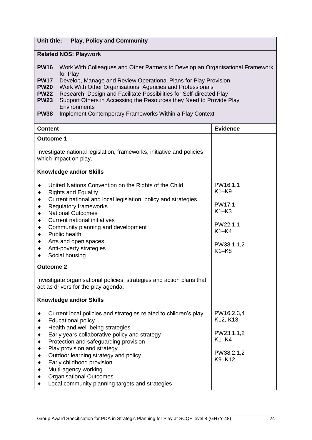### **Unit title: Play, Policy and Community**

### **Related NOS: Playwork**

| <b>PW16</b> | Work With Colleagues and Other Partners to Develop an Organisational Framework<br>for Play |
|-------------|--------------------------------------------------------------------------------------------|
| <b>PW17</b> | Develop, Manage and Review Operational Plans for Play Provision                            |
| <b>PW20</b> | Work With Other Organisations, Agencies and Professionals                                  |
| <b>PW22</b> | Research, Design and Facilitate Possibilities for Self-directed Play                       |
| <b>PW23</b> | Support Others in Accessing the Resources they Need to Provide Play                        |
|             | Environments                                                                               |
| <b>PW38</b> | Implement Contemporary Frameworks Within a Play Context                                    |

| PW16.1.1<br>$K1-K9$<br>PW17.1                                                                    |
|--------------------------------------------------------------------------------------------------|
|                                                                                                  |
|                                                                                                  |
|                                                                                                  |
| $K1-K3$                                                                                          |
| PW22.1.1<br>$K1-K4$<br>PW38.1.1,2                                                                |
| $K1-K8$                                                                                          |
|                                                                                                  |
|                                                                                                  |
|                                                                                                  |
| PW16.2.3,4<br>K <sub>12</sub> , K <sub>13</sub><br>PW23.1.1,2<br>$K1-K4$<br>PW38.2.1,2<br>K9-K12 |
|                                                                                                  |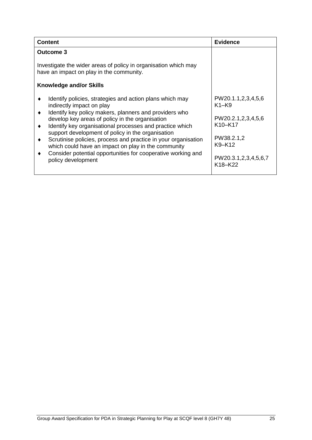| <b>Content</b>                                                                                                                                                                                                                                                                                                                                                                                                                                                                                                                                              | <b>Evidence</b>                                                                                                                                                             |
|-------------------------------------------------------------------------------------------------------------------------------------------------------------------------------------------------------------------------------------------------------------------------------------------------------------------------------------------------------------------------------------------------------------------------------------------------------------------------------------------------------------------------------------------------------------|-----------------------------------------------------------------------------------------------------------------------------------------------------------------------------|
| <b>Outcome 3</b>                                                                                                                                                                                                                                                                                                                                                                                                                                                                                                                                            |                                                                                                                                                                             |
| Investigate the wider areas of policy in organisation which may<br>have an impact on play in the community.<br>Knowledge and/or Skills                                                                                                                                                                                                                                                                                                                                                                                                                      |                                                                                                                                                                             |
| Identify policies, strategies and action plans which may<br>٠<br>indirectly impact on play<br>Identify key policy makers, planners and providers who<br>٠<br>develop key areas of policy in the organisation<br>Identify key organisational processes and practice which<br>٠<br>support development of policy in the organisation<br>Scrutinise policies, process and practice in your organisation<br>٠<br>which could have an impact on play in the community<br>Consider potential opportunities for cooperative working and<br>٠<br>policy development | PW20.1.1,2,3,4,5,6<br>$K1-K9$<br>PW20.2.1,2,3,4,5,6<br>K <sub>10</sub> -K <sub>17</sub><br>PW38.2.1,2<br>K9-K12<br>PW20.3.1,2,3,4,5,6,7<br>K <sub>18</sub> -K <sub>22</sub> |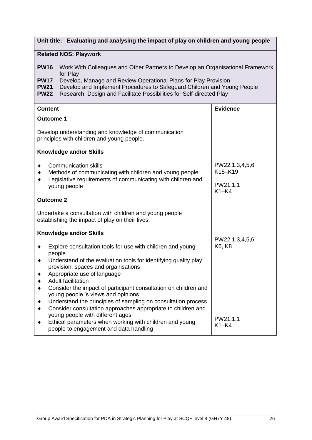|  |  |  |  | Unit title: Evaluating and analysing the impact of play on children and young people |  |
|--|--|--|--|--------------------------------------------------------------------------------------|--|
|--|--|--|--|--------------------------------------------------------------------------------------|--|

#### **Related NOS: Playwork**

**PW16** Work With Colleagues and Other Partners to Develop an Organisational Framework for Play

- **PW17** Develop, Manage and Review Operational Plans for Play Provision<br>**PW21** Develop and Implement Procedures to Safeguard Children and You
- **PW21** Develop and Implement Procedures to Safeguard Children and Young People

```
PW22 Research, Design and Facilitate Possibilities for Self-directed Play
```

|        | <b>Content</b>                                                                                                                                                                                                                             | <b>Evidence</b>           |
|--------|--------------------------------------------------------------------------------------------------------------------------------------------------------------------------------------------------------------------------------------------|---------------------------|
|        | <b>Outcome 1</b>                                                                                                                                                                                                                           |                           |
|        | Develop understanding and knowledge of communication<br>principles with children and young people.                                                                                                                                         |                           |
|        | <b>Knowledge and/or Skills</b>                                                                                                                                                                                                             |                           |
|        | <b>Communication skills</b><br>Methods of communicating with children and young people                                                                                                                                                     | PW22.1.3,4,5,6<br>K15-K19 |
|        | Legislative requirements of communicating with children and<br>young people                                                                                                                                                                | PW21.1.1<br>$K1-K4$       |
|        | <b>Outcome 2</b>                                                                                                                                                                                                                           |                           |
|        | Undertake a consultation with children and young people<br>establishing the impact of play on their lives.                                                                                                                                 |                           |
|        | <b>Knowledge and/or Skills</b>                                                                                                                                                                                                             |                           |
| ٠      | Explore consultation tools for use with children and young<br>people<br>Understand of the evaluation tools for identifying quality play<br>provision, spaces and organisations<br>Appropriate use of language<br><b>Adult facilitation</b> | PW22.1.3,4,5,6<br>K6, K8  |
| ٠<br>٠ | Consider the impact of participant consultation on children and<br>young people 's views and opinions<br>Understand the principles of sampling on consultation process<br>Consider consultation approaches appropriate to children and     |                           |
|        | young people with different ages<br>Ethical parameters when working with children and young<br>people to engagement and data handling                                                                                                      | PW21.1.1<br>$K1-K4$       |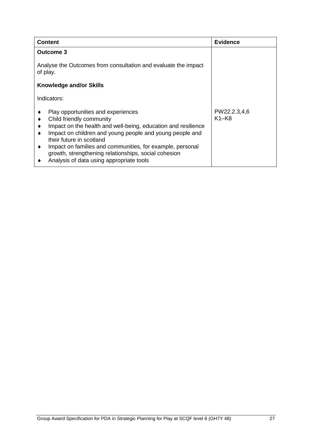| <b>Content</b>                                                                                                                                                                                                                                                                                                                                                                                | <b>Evidence</b>         |  |
|-----------------------------------------------------------------------------------------------------------------------------------------------------------------------------------------------------------------------------------------------------------------------------------------------------------------------------------------------------------------------------------------------|-------------------------|--|
| <b>Outcome 3</b>                                                                                                                                                                                                                                                                                                                                                                              |                         |  |
| Analyse the Outcomes from consultation and evaluate the impact<br>of play.                                                                                                                                                                                                                                                                                                                    |                         |  |
| <b>Knowledge and/or Skills</b>                                                                                                                                                                                                                                                                                                                                                                |                         |  |
| Indicators:                                                                                                                                                                                                                                                                                                                                                                                   |                         |  |
| Play opportunities and experiences<br>Child friendly community<br>Impact on the health and well-being, education and resilience<br>Impact on children and young people and young people and<br>their future in scotland<br>Impact on families and communities, for example, personal<br>٠<br>growth, strengthening relationships, social cohesion<br>Analysis of data using appropriate tools | PW22.2.3,4,6<br>$K1-K8$ |  |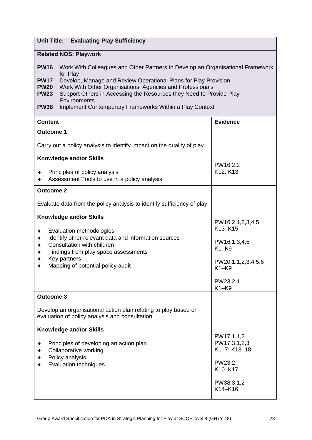| <b>Unit Title:</b> | <b>Evaluating Play Sufficiency</b> |
|--------------------|------------------------------------|
|--------------------|------------------------------------|

### **Related NOS: Playwork**

| <b>PW16</b> | Work With Colleagues and Other Partners to Develop an Organisational Framework      |
|-------------|-------------------------------------------------------------------------------------|
|             | for Play                                                                            |
| <b>PW17</b> | Develop, Manage and Review Operational Plans for Play Provision                     |
| <b>PW20</b> | Work With Other Organisations, Agencies and Professionals                           |
| <b>PW23</b> | Support Others in Accessing the Resources they Need to Provide Play<br>Environments |
| <b>PW38</b> | Implement Contemporary Frameworks Within a Play Context                             |
|             |                                                                                     |

| <b>Content</b>                                                                                                                                                                                                                                | <b>Evidence</b>                                                                          |
|-----------------------------------------------------------------------------------------------------------------------------------------------------------------------------------------------------------------------------------------------|------------------------------------------------------------------------------------------|
| <b>Outcome 1</b>                                                                                                                                                                                                                              |                                                                                          |
| Carry out a policy analysis to identify impact on the quality of play.                                                                                                                                                                        |                                                                                          |
| <b>Knowledge and/or Skills</b>                                                                                                                                                                                                                |                                                                                          |
| Principles of policy analysis<br>Assessment Tools to use in a policy analysis                                                                                                                                                                 | PW16.2.2<br>K12, K13                                                                     |
| <b>Outcome 2</b>                                                                                                                                                                                                                              |                                                                                          |
| Evaluate data from the policy analysis to identify sufficiency of play.                                                                                                                                                                       |                                                                                          |
| <b>Knowledge and/or Skills</b><br>Evaluation methodologies<br>Identify other relevant data and information sources<br>Consultation with children<br>Findings from play space assessments<br>Key partners<br>Mapping of potential policy audit | PW16.2.1,2,3,4,5<br>K13-K15<br>PW16.1.3,4,5<br>$K1-K9$<br>PW20.1.1,2,3,4,5,6<br>$K1-K9$  |
|                                                                                                                                                                                                                                               | PW23.2.1<br>$K1-K9$                                                                      |
| <b>Outcome 3</b>                                                                                                                                                                                                                              |                                                                                          |
| Develop an organisational action plan relating to play based on<br>evaluation of policy analysis and consultation.                                                                                                                            |                                                                                          |
| <b>Knowledge and/or Skills</b>                                                                                                                                                                                                                |                                                                                          |
| Principles of developing an action plan<br>Collaborative working<br>Policy analysis<br><b>Evaluation techniques</b>                                                                                                                           | PW17.1.1,2<br>PW17.3.1,2,3<br>K1-7; K13-18<br>PW23.2<br>K10-K17<br>PW38.3.1,2<br>K14-K16 |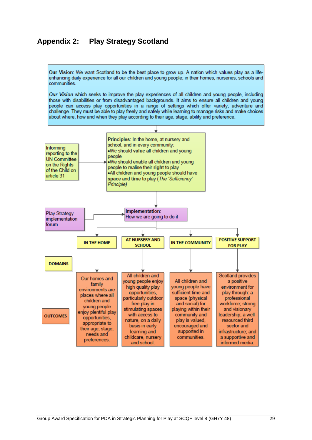### <span id="page-30-0"></span>**Appendix 2: Play Strategy Scotland**

Our Vision: We want Scotland to be the best place to grow up. A nation which values play as a lifeenhancing daily experience for all our children and young people; in their homes, nurseries, schools and communities.

Our Vision which seeks to improve the play experiences of all children and young people, including those with disabilities or from disadvantaged backgrounds. It aims to ensure all children and young people can access play opportunities in a range of settings which offer variety, adventure and challenge. They must be able to play freely and safely while learning to manage risks and make choices about where, how and when they play according to their age, stage, ability and preference.